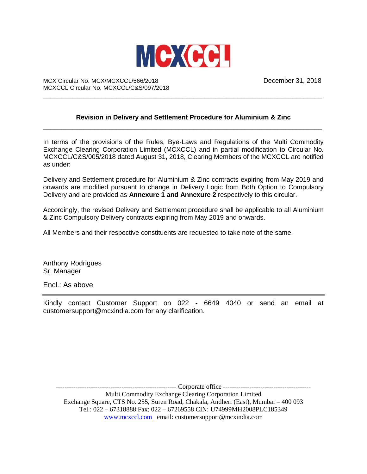

MCX Circular No. MCX/MCXCCL/566/2018 December 31, 2018 MCXCCL Circular No. MCXCCL/C&S/097/2018

## **Revision in Delivery and Settlement Procedure for Aluminium & Zinc** \_\_\_\_\_\_\_\_\_\_\_\_\_\_\_\_\_\_\_\_\_\_\_\_\_\_\_\_\_\_\_\_\_\_\_\_\_\_\_\_\_\_\_\_\_\_\_\_\_\_\_\_\_\_\_\_\_\_\_\_\_\_\_\_\_\_\_\_\_\_\_\_\_\_\_\_

\_\_\_\_\_\_\_\_\_\_\_\_\_\_\_\_\_\_\_\_\_\_\_\_\_\_\_\_\_\_\_\_\_\_\_\_\_\_\_\_\_\_\_\_\_\_\_\_\_\_\_\_\_\_\_\_\_\_\_\_\_\_\_\_\_\_\_\_\_\_\_\_\_\_\_\_

In terms of the provisions of the Rules, Bye-Laws and Regulations of the Multi Commodity Exchange Clearing Corporation Limited (MCXCCL) and in partial modification to Circular No. MCXCCL/C&S/005/2018 dated August 31, 2018, Clearing Members of the MCXCCL are notified as under:

Delivery and Settlement procedure for Aluminium & Zinc contracts expiring from May 2019 and onwards are modified pursuant to change in Delivery Logic from Both Option to Compulsory Delivery and are provided as **Annexure 1 and Annexure 2** respectively to this circular.

Accordingly, the revised Delivery and Settlement procedure shall be applicable to all Aluminium & Zinc Compulsory Delivery contracts expiring from May 2019 and onwards.

All Members and their respective constituents are requested to take note of the same.

Anthony Rodrigues Sr. Manager

Encl.: As above

Kindly contact Customer Support on 022 - 6649 4040 or send an email at customersupport@mcxindia.com for any clarification.

------------------------------------------------------- Corporate office ----------------------------------------

Multi Commodity Exchange Clearing Corporation Limited Exchange Square, CTS No. 255, Suren Road, Chakala, Andheri (East), Mumbai – 400 093 Tel.: 022 – 67318888 Fax: 022 – 67269558 CIN: U74999MH2008PLC185349 [www.mcxccl.com](http://www.mcxccl.com/) email: customersupport@mcxindia.com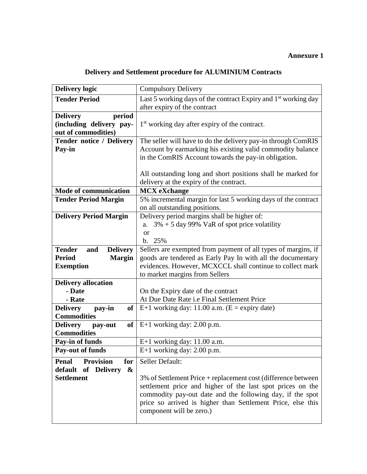## **Annexure 1**

|  | Delivery and Settlement procedure for ALUMINIUM Contracts |  |
|--|-----------------------------------------------------------|--|
|--|-----------------------------------------------------------|--|

| <b>Delivery logic</b>                                                                                          | <b>Compulsory Delivery</b>                                                                                                                                                                                                                                                                             |
|----------------------------------------------------------------------------------------------------------------|--------------------------------------------------------------------------------------------------------------------------------------------------------------------------------------------------------------------------------------------------------------------------------------------------------|
| <b>Tender Period</b>                                                                                           | Last 5 working days of the contract Expiry and 1 <sup>st</sup> working day<br>after expiry of the contract                                                                                                                                                                                             |
| period<br><b>Delivery</b><br>(including delivery pay-<br>out of commodities)                                   | 1 <sup>st</sup> working day after expiry of the contract.                                                                                                                                                                                                                                              |
| <b>Tender notice / Delivery</b><br>Pay-in                                                                      | The seller will have to do the delivery pay-in through ComRIS<br>Account by earmarking his existing valid commodity balance<br>in the ComRIS Account towards the pay-in obligation.                                                                                                                    |
|                                                                                                                | All outstanding long and short positions shall be marked for<br>delivery at the expiry of the contract.                                                                                                                                                                                                |
| <b>Mode of communication</b>                                                                                   | <b>MCX</b> eXchange                                                                                                                                                                                                                                                                                    |
| <b>Tender Period Margin</b>                                                                                    | 5% incremental margin for last 5 working days of the contract<br>on all outstanding positions.                                                                                                                                                                                                         |
| <b>Delivery Period Margin</b>                                                                                  | Delivery period margins shall be higher of:<br>a. $3\% + 5$ day 99% VaR of spot price volatility<br><b>or</b><br>b. 25%                                                                                                                                                                                |
| <b>Tender</b><br><b>Delivery</b><br>and<br><b>Period</b><br><b>Margin</b><br><b>Exemption</b>                  | Sellers are exempted from payment of all types of margins, if<br>goods are tendered as Early Pay In with all the documentary<br>evidences. However, MCXCCL shall continue to collect mark<br>to market margins from Sellers                                                                            |
| <b>Delivery allocation</b><br>- Date<br>- Rate<br><b>Delivery</b><br><b>of</b><br>pay-in<br><b>Commodities</b> | On the Expiry date of the contract<br>At Due Date Rate i.e Final Settlement Price<br>E+1 working day: 11.00 a.m. $(E =$ expiry date)                                                                                                                                                                   |
| <b>Delivery</b><br>of<br>pay-out<br><b>Commodities</b>                                                         | $E+1$ working day: 2.00 p.m.                                                                                                                                                                                                                                                                           |
| Pay-in of funds                                                                                                | $E+1$ working day: 11.00 a.m.                                                                                                                                                                                                                                                                          |
| <b>Pay-out of funds</b>                                                                                        | $E+1$ working day: 2.00 p.m.                                                                                                                                                                                                                                                                           |
| <b>Provision</b><br><b>Penal</b><br>for<br>default of Delivery<br>$\boldsymbol{\&}$<br><b>Settlement</b>       | Seller Default:<br>3% of Settlement Price + replacement cost (difference between<br>settlement price and higher of the last spot prices on the<br>commodity pay-out date and the following day, if the spot<br>price so arrived is higher than Settlement Price, else this<br>component will be zero.) |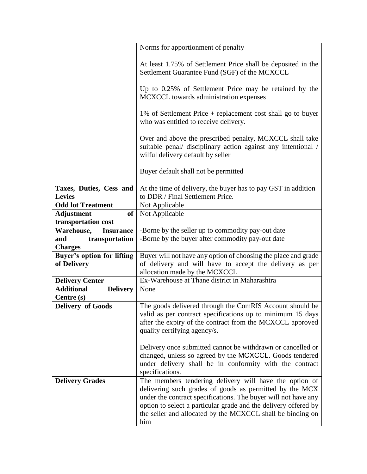|                                          | Norms for apportionment of penalty –                                                                                                                                                                                                                                                                                        |
|------------------------------------------|-----------------------------------------------------------------------------------------------------------------------------------------------------------------------------------------------------------------------------------------------------------------------------------------------------------------------------|
|                                          | At least 1.75% of Settlement Price shall be deposited in the<br>Settlement Guarantee Fund (SGF) of the MCXCCL                                                                                                                                                                                                               |
|                                          | Up to 0.25% of Settlement Price may be retained by the<br>MCXCCL towards administration expenses                                                                                                                                                                                                                            |
|                                          | 1% of Settlement Price + replacement cost shall go to buyer<br>who was entitled to receive delivery.                                                                                                                                                                                                                        |
|                                          | Over and above the prescribed penalty, MCXCCL shall take<br>suitable penal/ disciplinary action against any intentional /<br>wilful delivery default by seller                                                                                                                                                              |
|                                          | Buyer default shall not be permitted                                                                                                                                                                                                                                                                                        |
| Taxes, Duties, Cess and<br><b>Levies</b> | At the time of delivery, the buyer has to pay GST in addition<br>to DDR / Final Settlement Price.                                                                                                                                                                                                                           |
| <b>Odd lot Treatment</b>                 | Not Applicable                                                                                                                                                                                                                                                                                                              |
| <b>Adjustment</b><br>of                  | Not Applicable                                                                                                                                                                                                                                                                                                              |
| transportation cost                      |                                                                                                                                                                                                                                                                                                                             |
| Warehouse,<br><b>Insurance</b>           | -Borne by the seller up to commodity pay-out date                                                                                                                                                                                                                                                                           |
| transportation<br>and                    | -Borne by the buyer after commodity pay-out date                                                                                                                                                                                                                                                                            |
| <b>Charges</b>                           |                                                                                                                                                                                                                                                                                                                             |
| <b>Buyer's option for lifting</b>        | Buyer will not have any option of choosing the place and grade                                                                                                                                                                                                                                                              |
| of Delivery                              | of delivery and will have to accept the delivery as per                                                                                                                                                                                                                                                                     |
|                                          | allocation made by the MCXCCL                                                                                                                                                                                                                                                                                               |
| <b>Delivery Center</b>                   | Ex-Warehouse at Thane district in Maharashtra                                                                                                                                                                                                                                                                               |
| <b>Additional</b><br><b>Delivery</b>     | None                                                                                                                                                                                                                                                                                                                        |
| Centre (s)                               |                                                                                                                                                                                                                                                                                                                             |
| <b>Delivery of Goods</b>                 | The goods delivered through the ComRIS Account should be<br>valid as per contract specifications up to minimum 15 days<br>after the expiry of the contract from the MCXCCL approved<br>quality certifying agency/s.                                                                                                         |
|                                          | Delivery once submitted cannot be withdrawn or cancelled or<br>changed, unless so agreed by the MCXCCL. Goods tendered<br>under delivery shall be in conformity with the contract<br>specifications.                                                                                                                        |
| <b>Delivery Grades</b>                   | The members tendering delivery will have the option of<br>delivering such grades of goods as permitted by the MCX<br>under the contract specifications. The buyer will not have any<br>option to select a particular grade and the delivery offered by<br>the seller and allocated by the MCXCCL shall be binding on<br>him |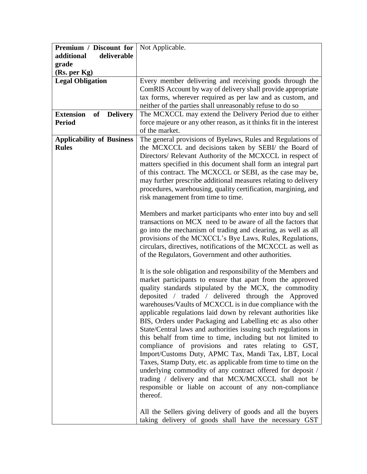| Premium / Discount for                           | Not Applicable.                                                                                                                                                                                                                                                                                                                                                                                                                                                                                                                                                                                                                                                                                                                                                                                                                                                                                                                                                                                                                                                                                                                                                                                                                                                                                                               |
|--------------------------------------------------|-------------------------------------------------------------------------------------------------------------------------------------------------------------------------------------------------------------------------------------------------------------------------------------------------------------------------------------------------------------------------------------------------------------------------------------------------------------------------------------------------------------------------------------------------------------------------------------------------------------------------------------------------------------------------------------------------------------------------------------------------------------------------------------------------------------------------------------------------------------------------------------------------------------------------------------------------------------------------------------------------------------------------------------------------------------------------------------------------------------------------------------------------------------------------------------------------------------------------------------------------------------------------------------------------------------------------------|
| deliverable<br>additional                        |                                                                                                                                                                                                                                                                                                                                                                                                                                                                                                                                                                                                                                                                                                                                                                                                                                                                                                                                                                                                                                                                                                                                                                                                                                                                                                                               |
| grade                                            |                                                                                                                                                                                                                                                                                                                                                                                                                                                                                                                                                                                                                                                                                                                                                                                                                                                                                                                                                                                                                                                                                                                                                                                                                                                                                                                               |
| (Rs. per Kg)                                     |                                                                                                                                                                                                                                                                                                                                                                                                                                                                                                                                                                                                                                                                                                                                                                                                                                                                                                                                                                                                                                                                                                                                                                                                                                                                                                                               |
| <b>Legal Obligation</b>                          | Every member delivering and receiving goods through the                                                                                                                                                                                                                                                                                                                                                                                                                                                                                                                                                                                                                                                                                                                                                                                                                                                                                                                                                                                                                                                                                                                                                                                                                                                                       |
|                                                  | ComRIS Account by way of delivery shall provide appropriate                                                                                                                                                                                                                                                                                                                                                                                                                                                                                                                                                                                                                                                                                                                                                                                                                                                                                                                                                                                                                                                                                                                                                                                                                                                                   |
|                                                  | tax forms, wherever required as per law and as custom, and                                                                                                                                                                                                                                                                                                                                                                                                                                                                                                                                                                                                                                                                                                                                                                                                                                                                                                                                                                                                                                                                                                                                                                                                                                                                    |
|                                                  | neither of the parties shall unreasonably refuse to do so                                                                                                                                                                                                                                                                                                                                                                                                                                                                                                                                                                                                                                                                                                                                                                                                                                                                                                                                                                                                                                                                                                                                                                                                                                                                     |
| <b>Extension</b><br>of<br><b>Delivery</b>        | The MCXCCL may extend the Delivery Period due to either                                                                                                                                                                                                                                                                                                                                                                                                                                                                                                                                                                                                                                                                                                                                                                                                                                                                                                                                                                                                                                                                                                                                                                                                                                                                       |
| <b>Period</b>                                    | force majeure or any other reason, as it thinks fit in the interest                                                                                                                                                                                                                                                                                                                                                                                                                                                                                                                                                                                                                                                                                                                                                                                                                                                                                                                                                                                                                                                                                                                                                                                                                                                           |
|                                                  | of the market.                                                                                                                                                                                                                                                                                                                                                                                                                                                                                                                                                                                                                                                                                                                                                                                                                                                                                                                                                                                                                                                                                                                                                                                                                                                                                                                |
| <b>Applicability of Business</b><br><b>Rules</b> | The general provisions of Byelaws, Rules and Regulations of<br>the MCXCCL and decisions taken by SEBI/ the Board of<br>Directors/ Relevant Authority of the MCXCCL in respect of<br>matters specified in this document shall form an integral part<br>of this contract. The MCXCCL or SEBI, as the case may be,<br>may further prescribe additional measures relating to delivery<br>procedures, warehousing, quality certification, margining, and<br>risk management from time to time.<br>Members and market participants who enter into buy and sell<br>transactions on MCX need to be aware of all the factors that<br>go into the mechanism of trading and clearing, as well as all<br>provisions of the MCXCCL's Bye Laws, Rules, Regulations,<br>circulars, directives, notifications of the MCXCCL as well as<br>of the Regulators, Government and other authorities.<br>It is the sole obligation and responsibility of the Members and<br>market participants to ensure that apart from the approved<br>quality standards stipulated by the MCX, the commodity<br>deposited / traded / delivered through the Approved<br>warehouses/Vaults of MCXCCL is in due compliance with the<br>applicable regulations laid down by relevant authorities like<br>BIS, Orders under Packaging and Labelling etc as also other |
|                                                  | State/Central laws and authorities issuing such regulations in<br>this behalf from time to time, including but not limited to<br>compliance of provisions and rates relating to GST,<br>Import/Customs Duty, APMC Tax, Mandi Tax, LBT, Local<br>Taxes, Stamp Duty, etc. as applicable from time to time on the<br>underlying commodity of any contract offered for deposit /<br>trading / delivery and that MCX/MCXCCL shall not be                                                                                                                                                                                                                                                                                                                                                                                                                                                                                                                                                                                                                                                                                                                                                                                                                                                                                           |
|                                                  | responsible or liable on account of any non-compliance<br>thereof.<br>All the Sellers giving delivery of goods and all the buyers<br>taking delivery of goods shall have the necessary GST                                                                                                                                                                                                                                                                                                                                                                                                                                                                                                                                                                                                                                                                                                                                                                                                                                                                                                                                                                                                                                                                                                                                    |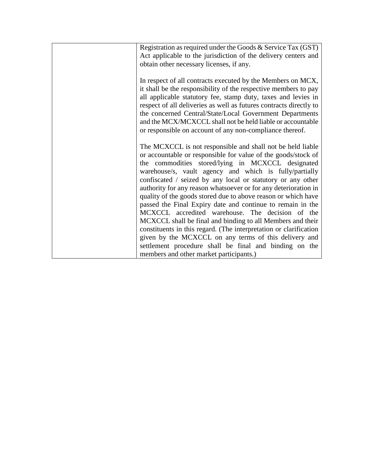| Registration as required under the Goods & Service Tax (GST)<br>Act applicable to the jurisdiction of the delivery centers and<br>obtain other necessary licenses, if any.                                                                                                                                                                                                                                                                                                                                                                                                                                                                                                                                                                                                                                                                                       |
|------------------------------------------------------------------------------------------------------------------------------------------------------------------------------------------------------------------------------------------------------------------------------------------------------------------------------------------------------------------------------------------------------------------------------------------------------------------------------------------------------------------------------------------------------------------------------------------------------------------------------------------------------------------------------------------------------------------------------------------------------------------------------------------------------------------------------------------------------------------|
| In respect of all contracts executed by the Members on MCX,<br>it shall be the responsibility of the respective members to pay<br>all applicable statutory fee, stamp duty, taxes and levies in<br>respect of all deliveries as well as futures contracts directly to<br>the concerned Central/State/Local Government Departments<br>and the MCX/MCXCCL shall not be held liable or accountable<br>or responsible on account of any non-compliance thereof.                                                                                                                                                                                                                                                                                                                                                                                                      |
| The MCXCCL is not responsible and shall not be held liable<br>or accountable or responsible for value of the goods/stock of<br>the commodities stored/lying in MCXCCL designated<br>warehouse/s, vault agency and which is fully/partially<br>confiscated / seized by any local or statutory or any other<br>authority for any reason whatsoever or for any deterioration in<br>quality of the goods stored due to above reason or which have<br>passed the Final Expiry date and continue to remain in the<br>MCXCCL accredited warehouse. The decision of the<br>MCXCCL shall be final and binding to all Members and their<br>constituents in this regard. (The interpretation or clarification<br>given by the MCXCCL on any terms of this delivery and<br>settlement procedure shall be final and binding on the<br>members and other market participants.) |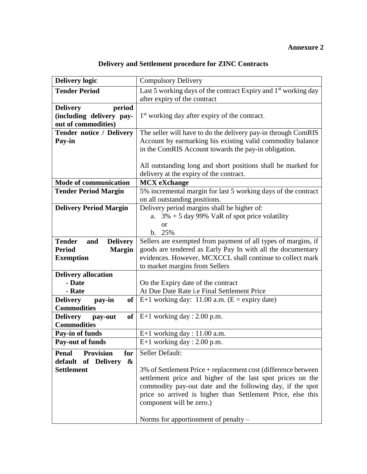## **Annexure 2**

## **Delivery and Settlement procedure for ZINC Contracts**

| <b>Delivery logic</b>                                                        | <b>Compulsory Delivery</b>                                                                                                                                                                                                                                                                                                  |
|------------------------------------------------------------------------------|-----------------------------------------------------------------------------------------------------------------------------------------------------------------------------------------------------------------------------------------------------------------------------------------------------------------------------|
| <b>Tender Period</b>                                                         | Last 5 working days of the contract Expiry and 1 <sup>st</sup> working day<br>after expiry of the contract                                                                                                                                                                                                                  |
| period<br><b>Delivery</b><br>(including delivery pay-<br>out of commodities) | 1 <sup>st</sup> working day after expiry of the contract.                                                                                                                                                                                                                                                                   |
| <b>Tender notice / Delivery</b>                                              | The seller will have to do the delivery pay-in through ComRIS                                                                                                                                                                                                                                                               |
| Pay-in                                                                       | Account by earmarking his existing valid commodity balance<br>in the ComRIS Account towards the pay-in obligation.                                                                                                                                                                                                          |
|                                                                              | All outstanding long and short positions shall be marked for<br>delivery at the expiry of the contract.                                                                                                                                                                                                                     |
| <b>Mode of communication</b>                                                 | <b>MCX</b> eXchange                                                                                                                                                                                                                                                                                                         |
| <b>Tender Period Margin</b>                                                  | 5% incremental margin for last 5 working days of the contract<br>on all outstanding positions.                                                                                                                                                                                                                              |
| <b>Delivery Period Margin</b>                                                | Delivery period margins shall be higher of:<br>$3\% + 5$ day 99% VaR of spot price volatility<br>a.<br><b>or</b><br>b. 25%                                                                                                                                                                                                  |
| <b>Tender</b><br>and<br><b>Delivery</b>                                      | Sellers are exempted from payment of all types of margins, if                                                                                                                                                                                                                                                               |
| <b>Period</b><br><b>Margin</b>                                               | goods are tendered as Early Pay In with all the documentary                                                                                                                                                                                                                                                                 |
| <b>Exemption</b>                                                             | evidences. However, MCXCCL shall continue to collect mark<br>to market margins from Sellers                                                                                                                                                                                                                                 |
| <b>Delivery allocation</b>                                                   |                                                                                                                                                                                                                                                                                                                             |
| - Date                                                                       | On the Expiry date of the contract                                                                                                                                                                                                                                                                                          |
| - Rate                                                                       | At Due Date Rate i.e Final Settlement Price                                                                                                                                                                                                                                                                                 |
| <b>Delivery</b><br>pay-in<br>of<br><b>Commodities</b>                        | E+1 working day: $11.00$ a.m. (E = expiry date)                                                                                                                                                                                                                                                                             |
| <b>Delivery</b><br>of<br>pay-out<br><b>Commodities</b>                       | $E+1$ working day : 2.00 p.m.                                                                                                                                                                                                                                                                                               |
| Pay-in of funds                                                              | $E+1$ working day : 11.00 a.m.                                                                                                                                                                                                                                                                                              |
| <b>Pay-out of funds</b>                                                      | E+1 working day : 2.00 p.m.                                                                                                                                                                                                                                                                                                 |
| <b>Provision</b><br>for<br><b>Penal</b>                                      | Seller Default:                                                                                                                                                                                                                                                                                                             |
| default<br>of Delivery<br>$\boldsymbol{\&}$                                  |                                                                                                                                                                                                                                                                                                                             |
| <b>Settlement</b>                                                            | 3% of Settlement Price + replacement cost (difference between<br>settlement price and higher of the last spot prices on the<br>commodity pay-out date and the following day, if the spot<br>price so arrived is higher than Settlement Price, else this<br>component will be zero.)<br>Norms for apportionment of penalty – |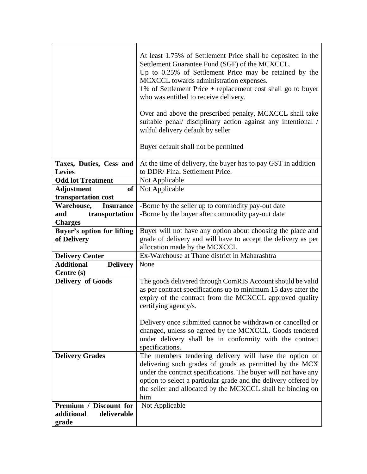|                                      | At least 1.75% of Settlement Price shall be deposited in the<br>Settlement Guarantee Fund (SGF) of the MCXCCL.<br>Up to 0.25% of Settlement Price may be retained by the<br>MCXCCL towards administration expenses.<br>1% of Settlement Price + replacement cost shall go to buyer<br>who was entitled to receive delivery.<br>Over and above the prescribed penalty, MCXCCL shall take<br>suitable penal/ disciplinary action against any intentional /<br>wilful delivery default by seller<br>Buyer default shall not be permitted |
|--------------------------------------|---------------------------------------------------------------------------------------------------------------------------------------------------------------------------------------------------------------------------------------------------------------------------------------------------------------------------------------------------------------------------------------------------------------------------------------------------------------------------------------------------------------------------------------|
| Taxes, Duties, Cess and              | At the time of delivery, the buyer has to pay GST in addition                                                                                                                                                                                                                                                                                                                                                                                                                                                                         |
| <b>Levies</b>                        | to DDR/Final Settlement Price.                                                                                                                                                                                                                                                                                                                                                                                                                                                                                                        |
| <b>Odd lot Treatment</b>             | Not Applicable                                                                                                                                                                                                                                                                                                                                                                                                                                                                                                                        |
| <b>Adjustment</b><br><sub>of</sub>   | Not Applicable                                                                                                                                                                                                                                                                                                                                                                                                                                                                                                                        |
| transportation cost                  |                                                                                                                                                                                                                                                                                                                                                                                                                                                                                                                                       |
| Warehouse,<br><b>Insurance</b>       | -Borne by the seller up to commodity pay-out date                                                                                                                                                                                                                                                                                                                                                                                                                                                                                     |
| transportation<br>and                | -Borne by the buyer after commodity pay-out date                                                                                                                                                                                                                                                                                                                                                                                                                                                                                      |
| <b>Charges</b>                       |                                                                                                                                                                                                                                                                                                                                                                                                                                                                                                                                       |
| <b>Buyer's option for lifting</b>    | Buyer will not have any option about choosing the place and<br>grade of delivery and will have to accept the delivery as per                                                                                                                                                                                                                                                                                                                                                                                                          |
| of Delivery                          | allocation made by the MCXCCL                                                                                                                                                                                                                                                                                                                                                                                                                                                                                                         |
| <b>Delivery Center</b>               | Ex-Warehouse at Thane district in Maharashtra                                                                                                                                                                                                                                                                                                                                                                                                                                                                                         |
| <b>Additional</b><br><b>Delivery</b> | None                                                                                                                                                                                                                                                                                                                                                                                                                                                                                                                                  |
| Centre (s)                           |                                                                                                                                                                                                                                                                                                                                                                                                                                                                                                                                       |
| <b>Delivery of Goods</b>             | The goods delivered through ComRIS Account should be valid                                                                                                                                                                                                                                                                                                                                                                                                                                                                            |
|                                      | as per contract specifications up to minimum 15 days after the                                                                                                                                                                                                                                                                                                                                                                                                                                                                        |
|                                      | expiry of the contract from the MCXCCL approved quality                                                                                                                                                                                                                                                                                                                                                                                                                                                                               |
|                                      | certifying agency/s.                                                                                                                                                                                                                                                                                                                                                                                                                                                                                                                  |
|                                      | Delivery once submitted cannot be withdrawn or cancelled or                                                                                                                                                                                                                                                                                                                                                                                                                                                                           |
|                                      | changed, unless so agreed by the MCXCCL. Goods tendered                                                                                                                                                                                                                                                                                                                                                                                                                                                                               |
|                                      | under delivery shall be in conformity with the contract                                                                                                                                                                                                                                                                                                                                                                                                                                                                               |
|                                      | specifications.                                                                                                                                                                                                                                                                                                                                                                                                                                                                                                                       |
| <b>Delivery Grades</b>               | The members tendering delivery will have the option of                                                                                                                                                                                                                                                                                                                                                                                                                                                                                |
|                                      | delivering such grades of goods as permitted by the MCX                                                                                                                                                                                                                                                                                                                                                                                                                                                                               |
|                                      | under the contract specifications. The buyer will not have any                                                                                                                                                                                                                                                                                                                                                                                                                                                                        |
|                                      | option to select a particular grade and the delivery offered by                                                                                                                                                                                                                                                                                                                                                                                                                                                                       |
|                                      | the seller and allocated by the MCXCCL shall be binding on<br>him                                                                                                                                                                                                                                                                                                                                                                                                                                                                     |
| Premium / Discount for               | Not Applicable                                                                                                                                                                                                                                                                                                                                                                                                                                                                                                                        |
| additional<br>deliverable            |                                                                                                                                                                                                                                                                                                                                                                                                                                                                                                                                       |
| grade                                |                                                                                                                                                                                                                                                                                                                                                                                                                                                                                                                                       |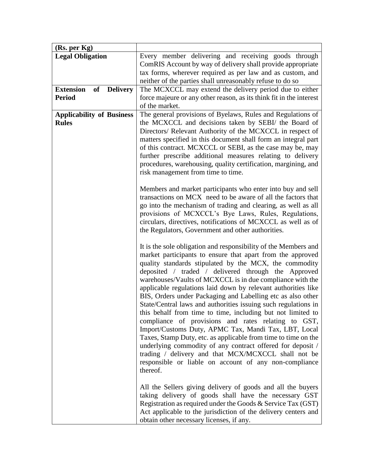| (Rs. per Kg)                                     |                                                                                                                                                                                                                                                                                                                                                                                                                                                                                                                                                                                                                                                                                                                                                                                                                                                                                                                                                          |
|--------------------------------------------------|----------------------------------------------------------------------------------------------------------------------------------------------------------------------------------------------------------------------------------------------------------------------------------------------------------------------------------------------------------------------------------------------------------------------------------------------------------------------------------------------------------------------------------------------------------------------------------------------------------------------------------------------------------------------------------------------------------------------------------------------------------------------------------------------------------------------------------------------------------------------------------------------------------------------------------------------------------|
| <b>Legal Obligation</b>                          | Every member delivering and receiving goods through<br>ComRIS Account by way of delivery shall provide appropriate<br>tax forms, wherever required as per law and as custom, and<br>neither of the parties shall unreasonably refuse to do so                                                                                                                                                                                                                                                                                                                                                                                                                                                                                                                                                                                                                                                                                                            |
| <b>Extension</b><br>of<br><b>Delivery</b>        | The MCXCCL may extend the delivery period due to either                                                                                                                                                                                                                                                                                                                                                                                                                                                                                                                                                                                                                                                                                                                                                                                                                                                                                                  |
| <b>Period</b>                                    | force majeure or any other reason, as its think fit in the interest<br>of the market.                                                                                                                                                                                                                                                                                                                                                                                                                                                                                                                                                                                                                                                                                                                                                                                                                                                                    |
| <b>Applicability of Business</b><br><b>Rules</b> | The general provisions of Byelaws, Rules and Regulations of<br>the MCXCCL and decisions taken by SEBI/ the Board of<br>Directors/ Relevant Authority of the MCXCCL in respect of<br>matters specified in this document shall form an integral part<br>of this contract. MCXCCL or SEBI, as the case may be, may<br>further prescribe additional measures relating to delivery<br>procedures, warehousing, quality certification, margining, and<br>risk management from time to time.                                                                                                                                                                                                                                                                                                                                                                                                                                                                    |
|                                                  | Members and market participants who enter into buy and sell<br>transactions on MCX need to be aware of all the factors that<br>go into the mechanism of trading and clearing, as well as all<br>provisions of MCXCCL's Bye Laws, Rules, Regulations,<br>circulars, directives, notifications of MCXCCL as well as of<br>the Regulators, Government and other authorities.                                                                                                                                                                                                                                                                                                                                                                                                                                                                                                                                                                                |
|                                                  | It is the sole obligation and responsibility of the Members and<br>market participants to ensure that apart from the approved<br>quality standards stipulated by the MCX, the commodity<br>deposited / traded / delivered through the Approved<br>warehouses/Vaults of MCXCCL is in due compliance with the<br>applicable regulations laid down by relevant authorities like<br>BIS, Orders under Packaging and Labelling etc as also other<br>State/Central laws and authorities issuing such regulations in<br>this behalf from time to time, including but not limited to<br>compliance of provisions and rates relating to GST,<br>Import/Customs Duty, APMC Tax, Mandi Tax, LBT, Local<br>Taxes, Stamp Duty, etc. as applicable from time to time on the<br>underlying commodity of any contract offered for deposit /<br>trading / delivery and that MCX/MCXCCL shall not be<br>responsible or liable on account of any non-compliance<br>thereof. |
|                                                  | All the Sellers giving delivery of goods and all the buyers<br>taking delivery of goods shall have the necessary GST<br>Registration as required under the Goods $\&$ Service Tax (GST)<br>Act applicable to the jurisdiction of the delivery centers and<br>obtain other necessary licenses, if any.                                                                                                                                                                                                                                                                                                                                                                                                                                                                                                                                                                                                                                                    |